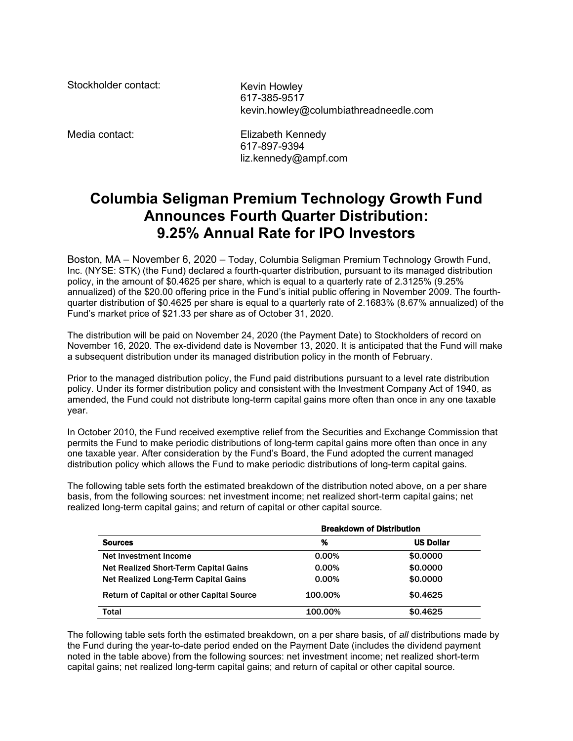Stockholder contact: Kevin Howley

617-385-9517 kevin.howley@columbiathreadneedle.com

Media contact: Elizabeth Kennedy 617-897-9394 liz.kennedy@ampf.com

## **Columbia Seligman Premium Technology Growth Fund Announces Fourth Quarter Distribution: 9.25% Annual Rate for IPO Investors**

Boston, MA – November 6, 2020 – Today, Columbia Seligman Premium Technology Growth Fund, Inc. (NYSE: STK) (the Fund) declared a fourth-quarter distribution, pursuant to its managed distribution policy, in the amount of \$0.4625 per share, which is equal to a quarterly rate of 2.3125% (9.25% annualized) of the \$20.00 offering price in the Fund's initial public offering in November 2009. The fourthquarter distribution of \$0.4625 per share is equal to a quarterly rate of 2.1683% (8.67% annualized) of the Fund's market price of \$21.33 per share as of October 31, 2020.

The distribution will be paid on November 24, 2020 (the Payment Date) to Stockholders of record on November 16, 2020. The ex-dividend date is November 13, 2020. It is anticipated that the Fund will make a subsequent distribution under its managed distribution policy in the month of February.

Prior to the managed distribution policy, the Fund paid distributions pursuant to a level rate distribution policy. Under its former distribution policy and consistent with the Investment Company Act of 1940, as amended, the Fund could not distribute long-term capital gains more often than once in any one taxable year.

In October 2010, the Fund received exemptive relief from the Securities and Exchange Commission that permits the Fund to make periodic distributions of long-term capital gains more often than once in any one taxable year. After consideration by the Fund's Board, the Fund adopted the current managed distribution policy which allows the Fund to make periodic distributions of long-term capital gains.

The following table sets forth the estimated breakdown of the distribution noted above, on a per share basis, from the following sources: net investment income; net realized short-term capital gains; net realized long-term capital gains; and return of capital or other capital source.

|                                                  | <b>Breakdown of Distribution</b> |                  |
|--------------------------------------------------|----------------------------------|------------------|
| <b>Sources</b>                                   | %                                | <b>US Dollar</b> |
| Net Investment Income                            | 0.00%                            | \$0,0000         |
| Net Realized Short-Term Capital Gains            | $0.00\%$                         | \$0,0000         |
| Net Realized Long-Term Capital Gains             | $0.00\%$                         | \$0,0000         |
| <b>Return of Capital or other Capital Source</b> | 100.00%                          | \$0.4625         |
| <b>Total</b>                                     | 100.00%                          | \$0.4625         |

The following table sets forth the estimated breakdown, on a per share basis, of *all* distributions made by the Fund during the year-to-date period ended on the Payment Date (includes the dividend payment noted in the table above) from the following sources: net investment income; net realized short-term capital gains; net realized long-term capital gains; and return of capital or other capital source.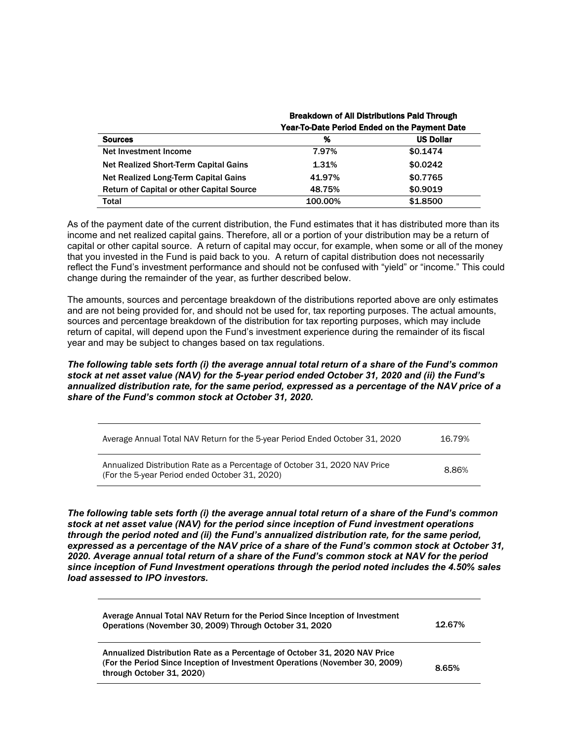|                                                  | <b>Breakdown of All Distributions Paid Through</b>   |                  |  |
|--------------------------------------------------|------------------------------------------------------|------------------|--|
|                                                  | <b>Year-To-Date Period Ended on the Payment Date</b> |                  |  |
| <b>Sources</b>                                   | %                                                    | <b>US Dollar</b> |  |
| Net Investment Income                            | 7.97%                                                | \$0.1474         |  |
| <b>Net Realized Short-Term Capital Gains</b>     | 1.31%                                                | \$0.0242         |  |
| Net Realized Long-Term Capital Gains             | 41.97%                                               | \$0.7765         |  |
| <b>Return of Capital or other Capital Source</b> | 48.75%                                               | \$0,9019         |  |
| Total                                            | 100.00%                                              | \$1,8500         |  |

As of the payment date of the current distribution, the Fund estimates that it has distributed more than its income and net realized capital gains. Therefore, all or a portion of your distribution may be a return of capital or other capital source. A return of capital may occur, for example, when some or all of the money that you invested in the Fund is paid back to you. A return of capital distribution does not necessarily reflect the Fund's investment performance and should not be confused with "yield" or "income." This could change during the remainder of the year, as further described below.

The amounts, sources and percentage breakdown of the distributions reported above are only estimates and are not being provided for, and should not be used for, tax reporting purposes. The actual amounts, sources and percentage breakdown of the distribution for tax reporting purposes, which may include return of capital, will depend upon the Fund's investment experience during the remainder of its fiscal year and may be subject to changes based on tax regulations.

## *The following table sets forth (i) the average annual total return of a share of the Fund's common stock at net asset value (NAV) for the 5-year period ended October 31, 2020 and (ii) the Fund's annualized distribution rate, for the same period, expressed as a percentage of the NAV price of a share of the Fund's common stock at October 31, 2020.*

| Average Annual Total NAV Return for the 5-year Period Ended October 31, 2020                                                 | 16.79% |
|------------------------------------------------------------------------------------------------------------------------------|--------|
| Annualized Distribution Rate as a Percentage of October 31, 2020 NAV Price<br>(For the 5-year Period ended October 31, 2020) | 8.86%  |

*The following table sets forth (i) the average annual total return of a share of the Fund's common stock at net asset value (NAV) for the period since inception of Fund investment operations through the period noted and (ii) the Fund's annualized distribution rate, for the same period, expressed as a percentage of the NAV price of a share of the Fund's common stock at October 31, 2020. Average annual total return of a share of the Fund's common stock at NAV for the period since inception of Fund Investment operations through the period noted includes the 4.50% sales load assessed to IPO investors.*

| Average Annual Total NAV Return for the Period Since Inception of Investment<br>Operations (November 30, 2009) Through October 31, 2020                                                 | 12.67% |
|-----------------------------------------------------------------------------------------------------------------------------------------------------------------------------------------|--------|
| Annualized Distribution Rate as a Percentage of October 31, 2020 NAV Price<br>(For the Period Since Inception of Investment Operations (November 30, 2009)<br>through October 31, 2020) | 8.65%  |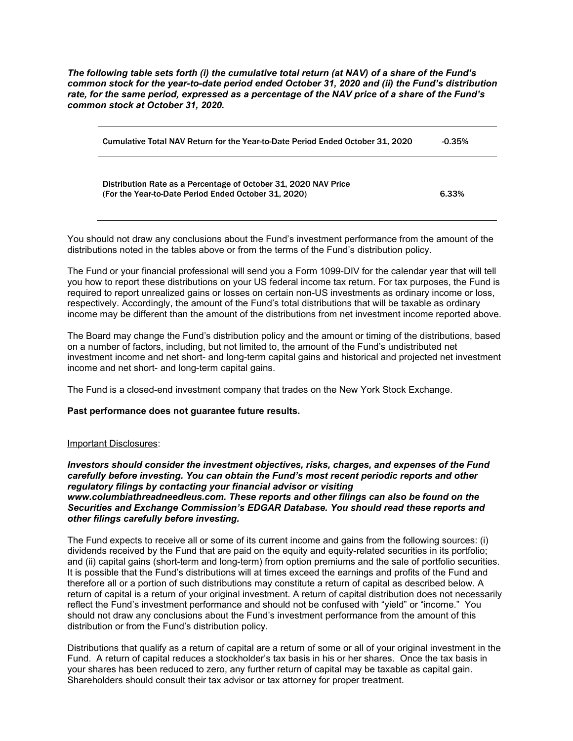*The following table sets forth (i) the cumulative total return (at NAV) of a share of the Fund's common stock for the year-to-date period ended October 31, 2020 and (ii) the Fund's distribution rate, for the same period, expressed as a percentage of the NAV price of a share of the Fund's common stock at October 31, 2020.*

| Cumulative Total NAV Return for the Year-to-Date Period Ended October 31, 2020                                          | $-0.35\%$ |
|-------------------------------------------------------------------------------------------------------------------------|-----------|
| Distribution Rate as a Percentage of October 31, 2020 NAV Price<br>(For the Year-to-Date Period Ended October 31, 2020) | 6.33%     |

You should not draw any conclusions about the Fund's investment performance from the amount of the distributions noted in the tables above or from the terms of the Fund's distribution policy.

The Fund or your financial professional will send you a Form 1099-DIV for the calendar year that will tell you how to report these distributions on your US federal income tax return. For tax purposes, the Fund is required to report unrealized gains or losses on certain non-US investments as ordinary income or loss, respectively. Accordingly, the amount of the Fund's total distributions that will be taxable as ordinary income may be different than the amount of the distributions from net investment income reported above.

The Board may change the Fund's distribution policy and the amount or timing of the distributions, based on a number of factors, including, but not limited to, the amount of the Fund's undistributed net investment income and net short- and long-term capital gains and historical and projected net investment income and net short- and long-term capital gains.

The Fund is a closed-end investment company that trades on the New York Stock Exchange.

## **Past performance does not guarantee future results.**

## Important Disclosures:

*Investors should consider the investment objectives, risks, charges, and expenses of the Fund carefully before investing. You can obtain the Fund's most recent periodic reports and other regulatory filings by contacting your financial advisor or visiting www.columbiathreadneedleus.com. These reports and other filings can also be found on the Securities and Exchange Commission's EDGAR Database. You should read these reports and other filings carefully before investing.*

The Fund expects to receive all or some of its current income and gains from the following sources: (i) dividends received by the Fund that are paid on the equity and equity-related securities in its portfolio; and (ii) capital gains (short-term and long-term) from option premiums and the sale of portfolio securities. It is possible that the Fund's distributions will at times exceed the earnings and profits of the Fund and therefore all or a portion of such distributions may constitute a return of capital as described below. A return of capital is a return of your original investment. A return of capital distribution does not necessarily reflect the Fund's investment performance and should not be confused with "yield" or "income." You should not draw any conclusions about the Fund's investment performance from the amount of this distribution or from the Fund's distribution policy.

Distributions that qualify as a return of capital are a return of some or all of your original investment in the Fund. A return of capital reduces a stockholder's tax basis in his or her shares. Once the tax basis in your shares has been reduced to zero, any further return of capital may be taxable as capital gain. Shareholders should consult their tax advisor or tax attorney for proper treatment.